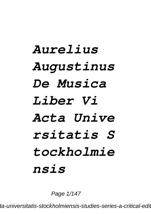## *Aurelius Augustinus De Musica Liber Vi Acta Unive rsitatis S tockholmie nsis*

Page 1/147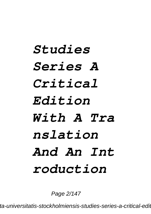## *Studies Series A Critical Edition With A Tra nslation And An Int roduction*

Page 2/147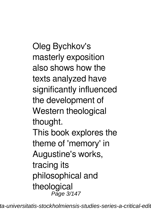Oleg Bychkov's masterly exposition also shows how the texts analyzed have significantly influenced the development of Western theological thought. This book explores the theme of 'memory' in Augustine's works, tracing its philosophical and theological Page 3/147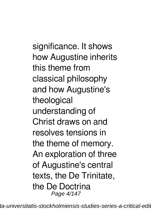significance. It shows how Augustine inherits this theme from classical philosophy and how Augustine's theological understanding of Christ draws on and resolves tensions in the theme of memory. An exploration of three of Augustine's central texts, the De Trinitate, the De Doctrina Page 4/147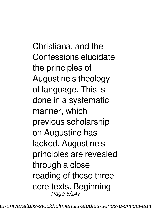Christiana, and the Confessions elucidate the principles of Augustine's theology of language. This is done in a systematic manner, which previous scholarship on Augustine has lacked. Augustine's principles are revealed through a close reading of these three core texts. Beginning Page 5/147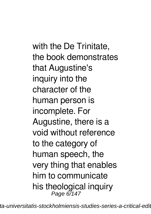with the De Trinitate, the book demonstrates that Augustine's inquiry into the character of the human person is incomplete. For Augustine, there is a void without reference to the category of human speech, the very thing that enables him to communicate his theological inquiry Page 6/147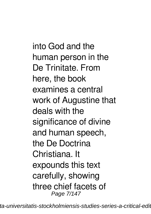into God and the human person in the De Trinitate. From here, the book examines a central work of Augustine that deals with the significance of divine and human speech, the De Doctrina Christiana. It expounds this text carefully, showing three chief facets of Page 7/147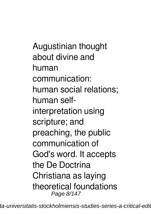Augustinian thought about divine and human communication: human social relations; human selfinterpretation using scripture; and preaching, the public communication of God's word. It accepts the De Doctrina Christiana as laying theoretical foundations Page 8/147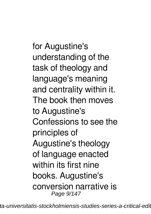for Augustine's understanding of the task of theology and language's meaning and centrality within it. The book then moves to Augustine's Confessions to see the principles of Augustine's theology of language enacted within its first nine books. Augustine's conversion narrative is Page 9/147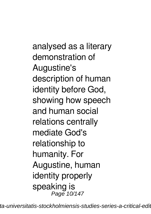analysed as a literary demonstration of Augustine's description of human identity before God, showing how speech and human social relations centrally mediate God's relationship to humanity. For Augustine, human identity properly speaking is Page 10/147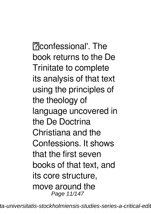Pconfessional'. The book returns to the De Trinitate to complete its analysis of that text using the principles of the theology of language uncovered in the De Doctrina Christiana and the Confessions. It shows that the first seven books of that text, and its core structure, move around the Page 11/147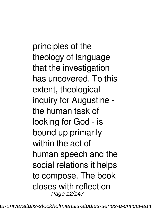principles of the theology of language that the investigation has uncovered. To this extent, theological inquiry for Augustine the human task of looking for God - is bound up primarily within the act of human speech and the social relations it helps to compose. The book closes with reflection Page 12/147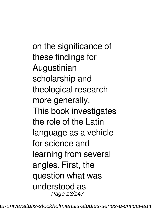on the significance of these findings for Augustinian scholarship and theological research more generally. This book investigates the role of the Latin language as a vehicle for science and learning from several angles. First, the question what was understood as Page 13/147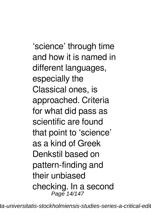'science' through time and how it is named in different languages, especially the Classical ones, is approached. Criteria for what did pass as scientific are found that point to 'science' as a kind of Greek Denkstil based on pattern-finding and their unbiased checking. In a second Page 14/147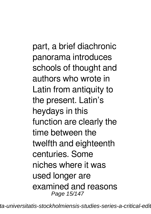part, a brief diachronic panorama introduces schools of thought and authors who wrote in Latin from antiquity to the present. Latin's heydays in this function are clearly the time between the twelfth and eighteenth centuries. Some niches where it was used longer are examined and reasons Page 15/147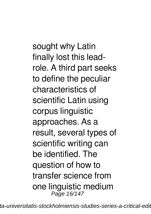sought why Latin finally lost this leadrole. A third part seeks to define the peculiar characteristics of scientific Latin using corpus linguistic approaches. As a result, several types of scientific writing can be identified. The question of how to transfer science from one linguistic medium Page 16/147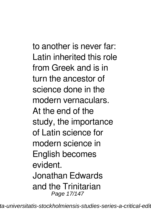to another is never far: Latin inherited this role from Greek and is in turn the ancestor of science done in the modern vernaculars. At the end of the study, the importance of Latin science for modern science in English becomes evident. Jonathan Edwards and the Trinitarian Page 17/147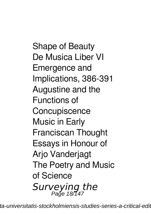Shape of Beauty De Musica Liber VI Emergence and Implications, 386-391 Augustine and the Functions of **Concupiscence** Music in Early Franciscan Thought Essays in Honour of **Ario Vanderiagt** The Poetry and Music of Science *Surveying the* Page 18/147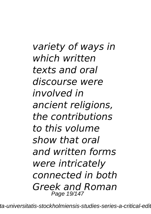*variety of ways in which written texts and oral discourse were involved in ancient religions, the contributions to this volume show that oral and written forms were intricately connected in both Greek and Roman* Page 19/147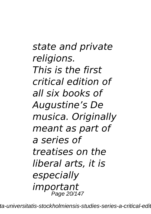*state and private religions. This is the first critical edition of all six books of Augustine's De musica. Originally meant as part of a series of treatises on the liberal arts, it is especially important* Page 20/147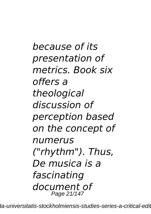*because of its presentation of metrics. Book six offers a theological discussion of perception based on the concept of numerus ("rhythm"). Thus, De musica is a fascinating document of* Page 21/147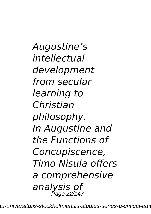*Augustine's intellectual development from secular learning to Christian philosophy. In Augustine and the Functions of Concupiscence, Timo Nisula offers a comprehensive analysis of* Page 22/147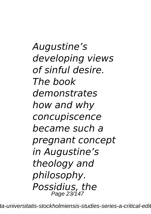*Augustine's developing views of sinful desire. The book demonstrates how and why concupiscence became such a pregnant concept in Augustine's theology and philosophy. Possidius, the* Page 23/147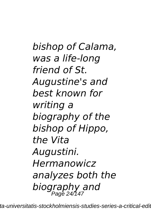*bishop of Calama, was a life-long friend of St. Augustine's and best known for writing a biography of the bishop of Hippo, the Vita Augustini. Hermanowicz analyzes both the biography and* Page 24/147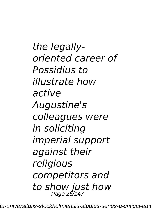*the legallyoriented career of Possidius to illustrate how active Augustine's colleagues were in soliciting imperial support against their religious competitors and* to show just how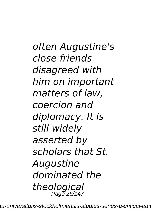*often Augustine's close friends disagreed with him on important matters of law, coercion and diplomacy. It is still widely asserted by scholars that St. Augustine dominated the theological* Page 26/147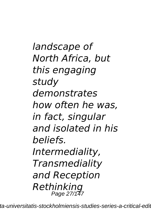*landscape of North Africa, but this engaging study demonstrates how often he was, in fact, singular and isolated in his beliefs. Intermediality, Transmediality and Reception Rethinking* Page 27/147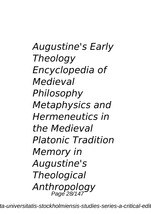*Augustine's Early Theology Encyclopedia of Medieval Philosophy Metaphysics and Hermeneutics in the Medieval Platonic Tradition Memory in Augustine's Theological Anthropology* Page 28/147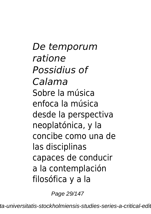*De temporum ratione Possidius of Calama* Sobre la música enfoca la música desde la perspectiva neoplatónica, y la concibe como una de las disciplinas capaces de conducir a la contemplación filosófica y a la

Page 29/147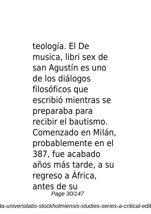teología. El De musica, libri sex de san Agustín es uno de los diálogos filosóficos que escribió mientras se preparaba para recibir el bautismo. Comenzado en Milán, probablemente en el 387, fue acabado años más tarde, a su regreso a África, antes de su Page 30/147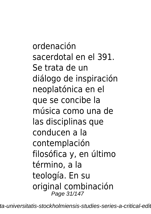ordenación sacerdotal en el 391. Se trata de un diálogo de inspiración neoplatónica en el que se concibe la música como una de las disciplinas que conducen a la contemplación filosófica y, en último término, a la teología. En su original combinación Page 31/147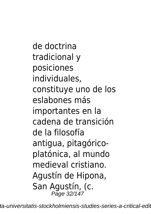de doctrina tradicional y posiciones individuales, constituye uno de los eslabones más importantes en la cadena de transición de la filosofía antigua, pitagóricoplatónica, al mundo medieval cristiano. Agustín de Hipona, San Agustín, (c. Page 32/147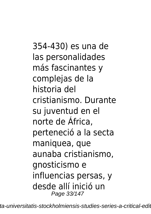354-430) es una de las personalidades más fascinantes y complejas de la historia del cristianismo. Durante su juventud en el norte de África, perteneció a la secta maniquea, que aunaba cristianismo, gnosticismo e influencias persas, y desde allí inició un Page 33/147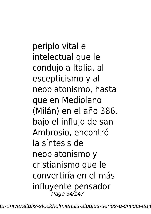periplo vital e intelectual que le condujo a Italia, al escepticismo y al neoplatonismo, hasta que en Mediolano (Milán) en el año 386, bajo el influjo de san Ambrosio, encontró la síntesis de neoplatonismo y cristianismo que le convertiría en el más influyente pensador Page 34/147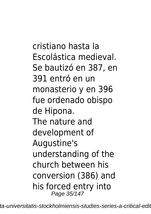cristiano hasta la Escolástica medieval. Se bautizó en 387, en 391 entró en un monasterio y en 396 fue ordenado obispo de Hipona. The nature and development of Augustine's understanding of the church between his conversion (386) and his forced entry into Page 35/147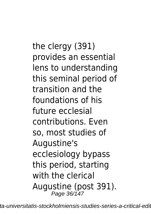the clergy (391) provides an essential lens to understanding this seminal period of transition and the foundations of his future ecclesial contributions. Even so, most studies of Augustine's ecclesiology bypass this period, starting with the clerical Augustine (post 391). Page 36/147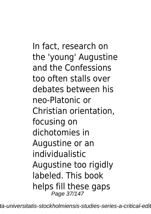In fact, research on the 'young' Augustine and the Confessions too often stalls over debates between his neo-Platonic or Christian orientation, focusing on dichotomies in Augustine or an individualistic Augustine too rigidly labeled. This book helps fill these gaps Page 37/147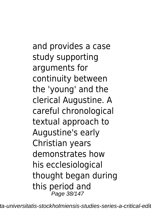and provides a case study supporting arguments for continuity between the 'young' and the clerical Augustine. A careful chronological textual approach to Augustine's early Christian years demonstrates how his ecclesiological thought began during this period and Page 38/147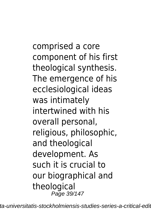comprised a core component of his first theological synthesis. The emergence of his ecclesiological ideas was intimately intertwined with his overall personal, religious, philosophic, and theological development. As such it is crucial to our biographical and theological Page 39/147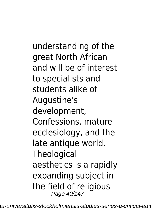understanding of the great North African and will be of interest to specialists and students alike of Augustine's development, Confessions, mature ecclesiology, and the late antique world. **Theological** aesthetics is a rapidly expanding subject in the field of religious Page 40/147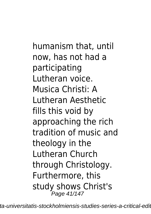humanism that, until now, has not had a participating Lutheran voice. Musica Christi: A Lutheran Aesthetic fills this void by approaching the rich tradition of music and theology in the Lutheran Church through Christology. Furthermore, this study shows Christ's Page 41/147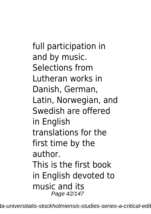full participation in and by music. Selections from Lutheran works in Danish, German, Latin, Norwegian, and Swedish are offered in English translations for the first time by the author. This is the first book in English devoted to music and its Page 42/147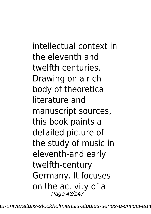intellectual context in the eleventh and twelfth centuries. Drawing on a rich body of theoretical literature and manuscript sources, this book paints a detailed picture of the study of music in eleventh-and early twelfth-century Germany. It focuses on the activity of a Page 43/147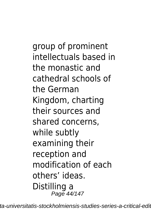group of prominent intellectuals based in the monastic and cathedral schools of the German Kingdom, charting their sources and shared concerns, while subtly examining their reception and modification of each others' ideas. Distilling a Page 44/147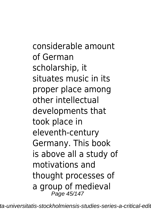considerable amount of German scholarship, it situates music in its proper place among other intellectual developments that took place in eleventh-century Germany. This book is above all a study of motivations and thought processes of a group of medieval Page 45/147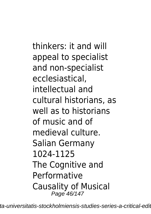thinkers: it and will appeal to specialist and non-specialist ecclesiastical, intellectual and cultural historians, as well as to historians of music and of medieval culture. Salian Germany 1024-1125 The Cognitive and Performative Causality of Musical Page 46/147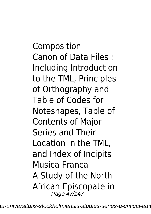Composition Canon of Data Files : Including Introduction to the TML, Principles of Orthography and Table of Codes for Noteshapes, Table of Contents of Major Series and Their Location in the TML, and Index of Incipits Musica Franca A Study of the North African Episcopate in Page 47/147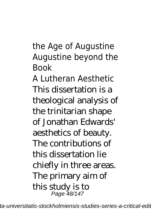the Age of Augustine Augustine beyond the Book A Lutheran Aesthetic This dissertation is a theological analysis of the trinitarian shape of Jonathan Edwards' aesthetics of beauty. The contributions of this dissertation lie chiefly in three areas. The primary aim of this study is to Page 48/147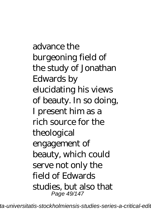advance the burgeoning field of the study of Jonathan Edwards by elucidating his views of beauty. In so doing, I present him as a rich source for the theological engagement of beauty, which could serve not only the field of Edwards studies, but also that Page 49/147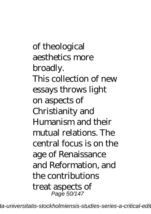of theological aesthetics more broadly. This collection of new essays throws light on aspects of Christianity and Humanism and their mutual relations. The central focus is on the age of Renaissance and Reformation, and the contributions treat aspects of Page 50/147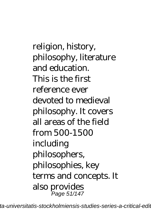religion, history, philosophy, literature and education. This is the first reference ever devoted to medieval philosophy. It covers all areas of the field from 500-1500 including philosophers, philosophies, key terms and concepts. It also provides Page 51/147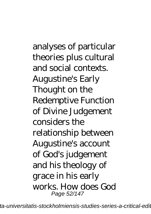analyses of particular theories plus cultural and social contexts. Augustine's Early Thought on the Redemptive Function of Divine Judgement considers the relationship between Augustine's account of God's judgement and his theology of grace in his early works. How does God Page 52/147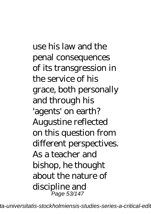use his law and the penal consequences of its transgression in the service of his grace, both personally and through his 'agents' on earth? Augustine reflected on this question from different perspectives. As a teacher and bishop, he thought about the nature of discipline and Page 53/147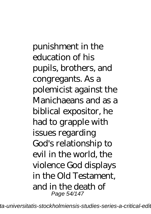punishment in the education of his pupils, brothers, and congregants. As a polemicist against the Manichaeans and as a biblical expositor, he had to grapple with issues regarding God's relationship to evil in the world, the violence God displays in the Old Testament, and in the death of Page 54/147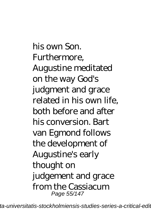his own Son. Furthermore, Augustine meditated on the way God's judgment and grace related in his own life, both before and after his conversion. Bart van Egmond follows the development of Augustine's early thought on judgement and grace from the Cassiacum Page 55/147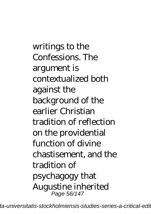writings to the Confessions. The argument is contextualized both against the background of the earlier Christian tradition of reflection on the providential function of divine chastisement, and the tradition of psychagogy that Augustine inherited Page 56/147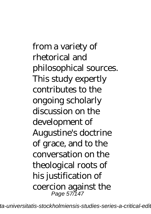from a variety of rhetorical and philosophical sources. This study expertly contributes to the ongoing scholarly discussion on the development of Augustine's doctrine of grace, and to the conversation on the theological roots of his justification of coercion against the Page 57/147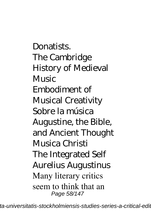**Donatists** The Cambridge History of Medieval **Music** Embodiment of Musical Creativity Sobre la música Augustine, the Bible, and Ancient Thought Musica Christi The Integrated Self Aurelius Augustinus Many literary critics seem to think that an Page 58/147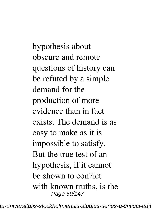hypothesis about obscure and remote questions of history can be refuted by a simple demand for the production of more evidence than in fact exists. The demand is as easy to make as it is impossible to satisfy. But the true test of an hypothesis, if it cannot be shown to con?ict with known truths, is the Page 59/147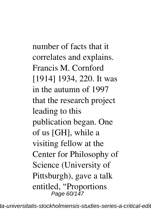number of facts that it correlates and explains. Francis M. Cornford [1914] 1934, 220. It was in the autumn of 1997 that the research project leading to this publication began. One of us [GH], while a visiting fellow at the Center for Philosophy of Science (University of Pittsburgh), gave a talk entitled, "Proportions Page 60/147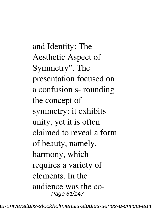and Identity: The Aesthetic Aspect of Symmetry". The presentation focused on a confusion s- rounding the concept of symmetry: it exhibits unity, yet it is often claimed to reveal a form of beauty, namely, harmony, which requires a variety of elements. In the audience was the co-Page 61/147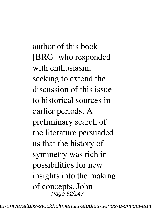author of this book [BRG] who responded with enthusiasm, seeking to extend the discussion of this issue to historical sources in earlier periods. A preliminary search of the literature persuaded us that the history of symmetry was rich in possibilities for new insights into the making of concepts. John Page 62/147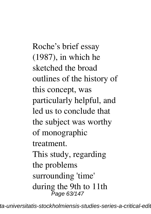Roche's brief essay (1987), in which he sketched the broad outlines of the history of this concept, was particularly helpful, and led us to conclude that the subject was worthy of monographic treatment. This study, regarding the problems surrounding 'time' during the 9th to 11th Page 63/147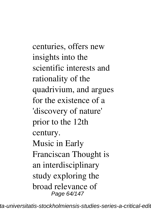centuries, offers new insights into the scientific interests and rationality of the quadrivium, and argues for the existence of a 'discovery of nature' prior to the 12th century. Music in Early Franciscan Thought is an interdisciplinary study exploring the broad relevance of Page 64/147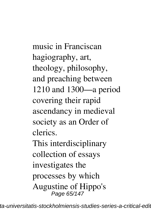music in Franciscan hagiography, art, theology, philosophy, and preaching between 1210 and 1300—a period covering their rapid ascendancy in medieval society as an Order of clerics. This interdisciplinary collection of essays investigates the processes by which

Augustine of Hippo's Page 65/147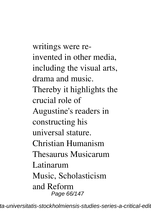writings were reinvented in other media, including the visual arts, drama and music. Thereby it highlights the crucial role of Augustine's readers in constructing his universal stature. Christian Humanism Thesaurus Musicarum Latinarum Music, Scholasticism and Reform Page 66/147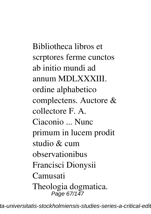Bibliotheca libros et scrptores ferme cunctos ab initio mundi ad annum MDLXXXIII. ordine alphabetico complectens. Auctore & collectore F. A. Ciaconio ... Nunc primum in lucem prodit studio & cum observationibus Francisci Dionysii Camusati Theologia dogmatica. Page 67/147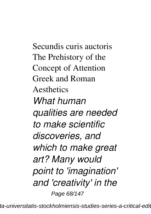Secundis curis auctoris The Prehistory of the Concept of Attention Greek and Roman **Aesthetics** *What human qualities are needed to make scientific discoveries, and which to make great art? Many would point to 'imagination' and 'creativity' in the* Page 68/147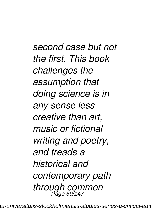*second case but not the first. This book challenges the assumption that doing science is in any sense less creative than art, music or fictional writing and poetry, and treads a historical and contemporary path through common* Page 69/147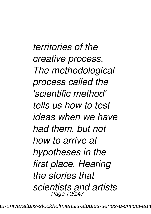*territories of the creative process. The methodological process called the 'scientific method' tells us how to test ideas when we have had them, but not how to arrive at hypotheses in the first place. Hearing the stories that scientists and artists* Page 70/147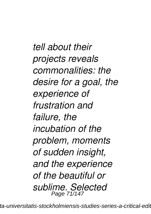*tell about their projects reveals commonalities: the desire for a goal, the experience of frustration and failure, the incubation of the problem, moments of sudden insight, and the experience of the beautiful or sublime. Selected* Page 71/147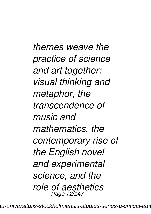*themes weave the practice of science and art together: visual thinking and metaphor, the transcendence of music and mathematics, the contemporary rise of the English novel and experimental science, and the role of aesthetics* Page 72/147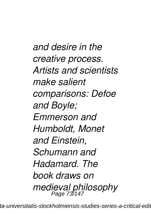*and desire in the creative process. Artists and scientists make salient comparisons: Defoe and Boyle; Emmerson and Humboldt, Monet and Einstein, Schumann and Hadamard. The book draws on medieval philosophy* Page 73/147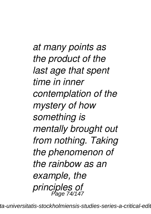*at many points as the product of the last age that spent time in inner contemplation of the mystery of how something is mentally brought out from nothing. Taking the phenomenon of the rainbow as an example, the principles of* Page 74/147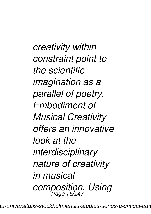*creativity within constraint point to the scientific imagination as a parallel of poetry. Embodiment of Musical Creativity offers an innovative look at the interdisciplinary nature of creativity in musical composition. Using* Page 75/147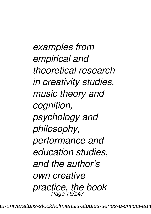*examples from empirical and theoretical research in creativity studies, music theory and cognition, psychology and philosophy, performance and education studies, and the author's own creative practice, the book* Page 76/147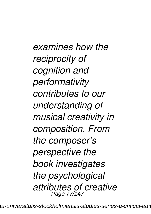*examines how the reciprocity of cognition and performativity contributes to our understanding of musical creativity in composition. From the composer's perspective the book investigates the psychological attributes of creative* Page 77/147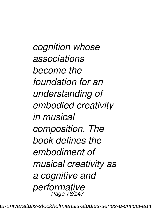*cognition whose associations become the foundation for an understanding of embodied creativity in musical composition. The book defines the embodiment of musical creativity as a cognitive and performative* Page 78/147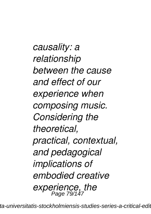*causality: a relationship between the cause and effect of our experience when composing music. Considering the theoretical, practical, contextual, and pedagogical implications of embodied creative experience, the* Page 79/147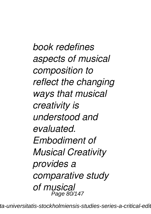*book redefines aspects of musical composition to reflect the changing ways that musical creativity is understood and evaluated. Embodiment of Musical Creativity provides a comparative study of musical* Page 80/147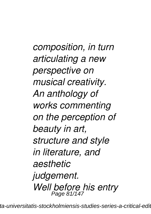*composition, in turn articulating a new perspective on musical creativity. An anthology of works commenting on the perception of beauty in art, structure and style in literature, and aesthetic judgement. Well before his entry* Page 81/147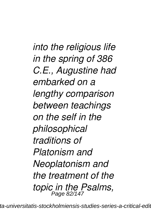*into the religious life in the spring of 386 C.E., Augustine had embarked on a lengthy comparison between teachings on the self in the philosophical traditions of Platonism and Neoplatonism and the treatment of the topic in the Psalms,* Page 82/147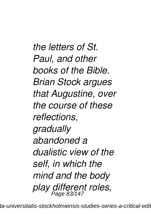*the letters of St. Paul, and other books of the Bible. Brian Stock argues that Augustine, over the course of these reflections, gradually abandoned a dualistic view of the self, in which the mind and the body play different roles,* Page 83/147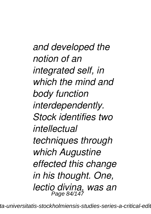*and developed the notion of an integrated self, in which the mind and body function interdependently. Stock identifies two intellectual techniques through which Augustine effected this change in his thought. One, lectio divina, was an* Page 84/147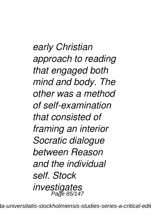*early Christian approach to reading that engaged both mind and body. The other was a method of self-examination that consisted of framing an interior Socratic dialogue between Reason and the individual self. Stock investigates* Page 85/147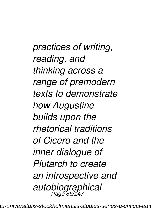*practices of writing, reading, and thinking across a range of premodern texts to demonstrate how Augustine builds upon the rhetorical traditions of Cicero and the inner dialogue of Plutarch to create an introspective and autobiographical* Page 86/147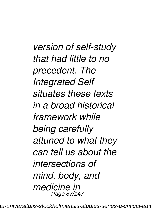*version of self-study that had little to no precedent. The Integrated Self situates these texts in a broad historical framework while being carefully attuned to what they can tell us about the intersections of mind, body, and medicine in* Page 87/147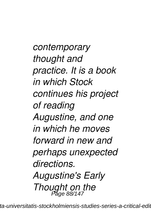*contemporary thought and practice. It is a book in which Stock continues his project of reading Augustine, and one in which he moves forward in new and perhaps unexpected directions. Augustine's Early Thought on the* Page 88/147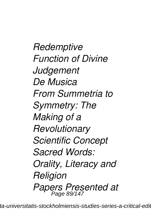*Redemptive Function of Divine Judgement De Musica From Summetria to Symmetry: The Making of a Revolutionary Scientific Concept Sacred Words: Orality, Literacy and Religion Papers Presented at* Page 89/147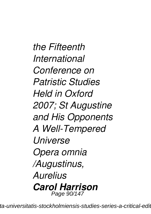*the Fifteenth International Conference on Patristic Studies Held in Oxford 2007; St Augustine and His Opponents A Well-Tempered Universe Opera omnia /Augustinus, Aurelius Carol Harrison* Page 90/147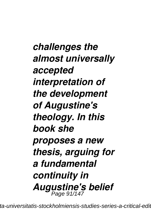*challenges the almost universally accepted interpretation of the development of Augustine's theology. In this book she proposes a new thesis, arguing for a fundamental continuity in Augustine's belief* Page 91/147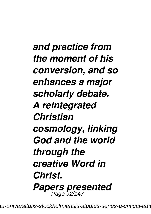*and practice from the moment of his conversion, and so enhances a major scholarly debate. A reintegrated Christian cosmology, linking God and the world through the creative Word in Christ. Papers presented* Page 92/147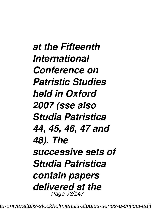*at the Fifteenth International Conference on Patristic Studies held in Oxford 2007 (sse also Studia Patristica 44, 45, 46, 47 and 48). The successive sets of Studia Patristica contain papers delivered at the* Page 93/147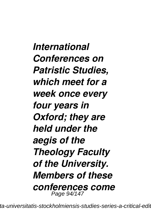*International Conferences on Patristic Studies, which meet for a week once every four years in Oxford; they are held under the aegis of the Theology Faculty of the University. Members of these conferences come* Page 94/147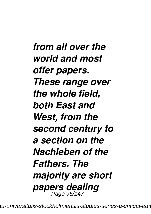*from all over the world and most offer papers. These range over the whole field, both East and West, from the second century to a section on the Nachleben of the Fathers. The majority are short papers dealing* Page 95/147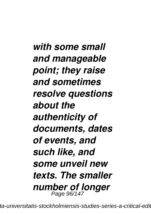*with some small and manageable point; they raise and sometimes resolve questions about the authenticity of documents, dates of events, and such like, and some unveil new texts. The smaller number of longer* Page 96/147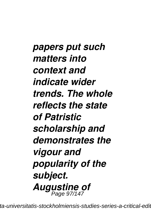*papers put such matters into context and indicate wider trends. The whole reflects the state of Patristic scholarship and demonstrates the vigour and popularity of the subject. Augustine of* Page 97/147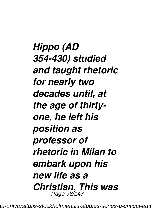*Hippo (AD 354-430) studied and taught rhetoric for nearly two decades until, at the age of thirtyone, he left his position as professor of rhetoric in Milan to embark upon his new life as a Christian. This was* Page 98/147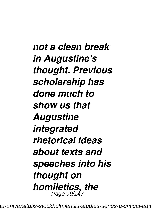*not a clean break in Augustine's thought. Previous scholarship has done much to show us that Augustine integrated rhetorical ideas about texts and speeches into his thought on homiletics, the* Page 99/147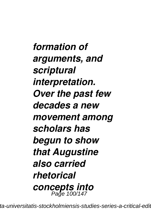*formation of arguments, and scriptural interpretation. Over the past few decades a new movement among scholars has begun to show that Augustine also carried rhetorical concepts into* Page 100/147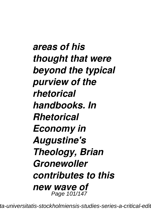*areas of his thought that were beyond the typical purview of the rhetorical handbooks. In Rhetorical Economy in Augustine's Theology, Brian Gronewoller contributes to this new wave of* Page 101/147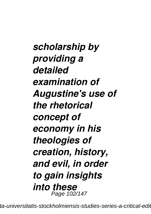*scholarship by providing a detailed examination of Augustine's use of the rhetorical concept of economy in his theologies of creation, history, and evil, in order to gain insights into these* Page 102/147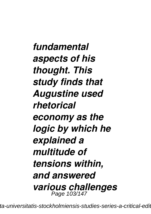*fundamental aspects of his thought. This study finds that Augustine used rhetorical economy as the logic by which he explained a multitude of tensions within, and answered various challenges* Page 103/147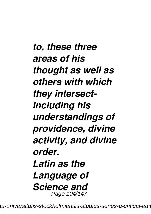*to, these three areas of his thought as well as others with which they intersectincluding his understandings of providence, divine activity, and divine order. Latin as the Language of Science and* Page 104/147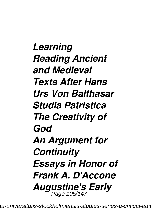*Learning Reading Ancient and Medieval Texts After Hans Urs Von Balthasar Studia Patristica The Creativity of God An Argument for Continuity Essays in Honor of Frank A. D'Accone Augustine's Early* Page 105/147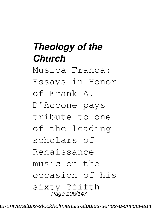## *Theology of the Church*

Musica Franca:

Essays in Honor

of Frank A.

D'Accone pays

tribute to one

of the leading

scholars of

Renaissance

music on the

occasion of his

sixty-?fifth Page 106/147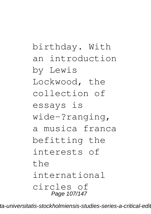birthday. With an introduction by Lewis Lockwood, the collection of essays is wide-?ranging, a musica franca befitting the interests of  $th$  $\alpha$ international circles of Page 107/147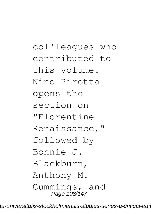col'leagues who contributed to this volume. Nino Pirotta opens the section on "Florentine Renaissance," followed by Bonnie J. Blackburn, Anthony M. Cummings, and Page 108/147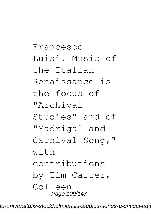Francesco Luisi. Music of the Italian Renaissance is the focus of "Archival Studies" and of "Madrigal and Carnival Song," with contributions by Tim Carter, Colleen Page 109/147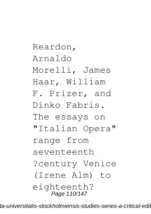Reardon, Arnaldo Morelli, James Haar, William F. Prizer, and Dinko Fabris. The essays on "Italian Opera" range from seventeenth ?century Venice (Irene Alm) to eighteenth? Page 110/147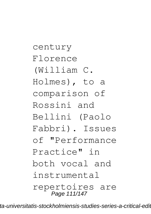century Florence (William C. Holmes), to a comparison of Rossini and Bellini (Paolo Fabbri). Issues of "Performance Practice" in both vocal and instrumental repertoires are Page 111/147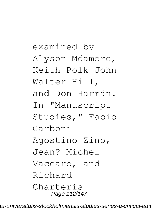examined by Alyson Mdamore, Keith Polk John Walter Hill, and Don Harrán. In "Manuscript Studies," Fabio Carboni Agostino Zino, Jean? Michel Vaccaro, and Richard Charteris Page 112/147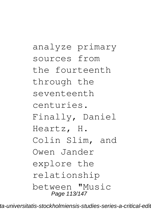analyze primary sources from the fourteenth through the seventeenth centuries. Finally, Daniel Heartz, H. Colin Slim, and Owen Jander explore the relationship between "Music Page 113/147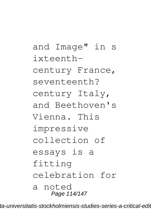and Image" in s  $i$ xteenthcentury France, seventeenth? century Italy, and Beethoven's Vienna. This impressive collection of essays is a fitting celebration for a noted Page 114/147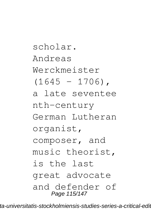scholar. Andreas Werckmeister  $(1645 - 1706)$ , a late seventee nth-century German Lutheran organist, composer, and music theorist, is the last great advocate and defender of Page 115/147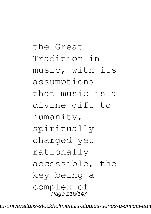the Great Tradition in music, with its assumptions that music is a divine gift to humanity, spiritually charged yet rationally accessible, the key being a complex of Page 116/147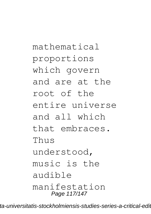mathematical proportions which govern and are at the root of the entire universe and all which that embraces. Thus understood, music is the audible manifestation Page 117/147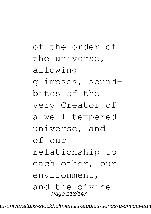of the order of the universe, allowing glimpses, soundbites of the very Creator of a well-tempered universe, and of our relationship to each other, our environment, and the divine Page 118/147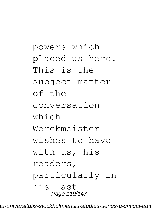powers which placed us here. This is the subject matter of the conversation which Werckmeister wishes to have with us, his readers, particularly in his last Page 119/147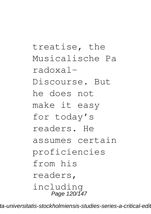treatise, the Musicalische Pa radoxal-Discourse. But he does not make it easy for today's readers. He assumes certain proficiencies from his readers, including Page 120/147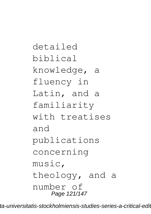detailed biblical knowledge, a fluency in Latin, and a familiarity with treatises and publications concerning music, theology, and a number of Page 121/147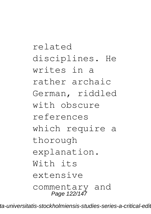related disciplines. He writes in a rather archaic German, riddled with obscure references which require a thorough explanation.  $W$ *i*th  $if s$ extensive commentary and Page 122/147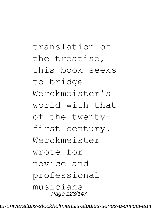translation of the treatise, this book seeks to bridge Werckmeister's world with that of the twentyfirst century. Werckmeister wrote for novice and professional musicians Page 123/147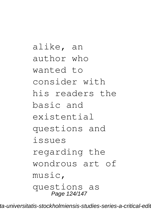alike, an author who wanted to consider with his readers the basic and existential questions and issues regarding the wondrous art of music, questions as Page 124/147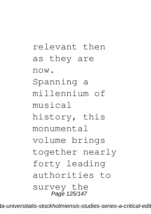relevant then as they are now. Spanning a millennium of musical history, this monumental volume brings together nearly forty leading authorities to survey the Page 125/147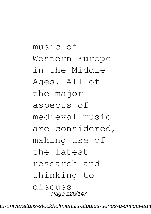music of Western Europe in the Middle Ages. All of the major aspects of medieval music are considered, making use of the latest research and thinking to discuss Page 126/147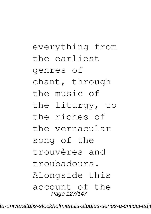everything from the earliest genres of chant, through the music of the liturgy, to the riches of the vernacular song of the trouvères and troubadours. Alongside this account of the Page 127/147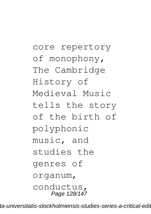core repertory of monophony, The Cambridge History of Medieval Music tells the story of the birth of polyphonic music, and studies the genres of organum, conductus, Page 128/147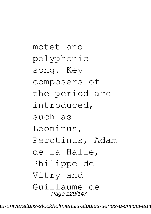motet and polyphonic song. Key composers of the period are introduced, such as Leoninus, Perotinus, Adam de la Halle, Philippe de Vitry and Guillaume de Page 129/147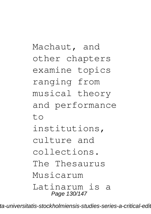Machaut, and other chapters examine topics ranging from musical theory and performance  $t \circ$ institutions, culture and collections. The Thesaurus Musicarum Latinarum is a Page 130/147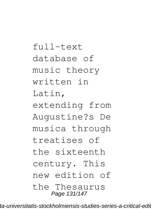full-text database of music theory written in Latin, extending from Augustine?s De musica through treatises of the sixteenth century. This new edition of the Thesaurus Page 131/147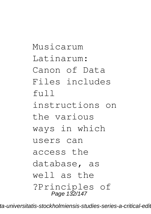Musicarum Latinarum: Canon of Data Files includes  $f$ <sub>11</sub> $]$ instructions on the various ways in which users can access the database, as well as the ?Principles of Page 132/147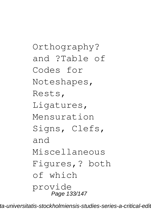Orthography? and ?Table of Codes for Noteshapes, Rests, Ligatures, Mensuration Signs, Clefs, and Miscellaneous Figures,? both of which provide Page 133/147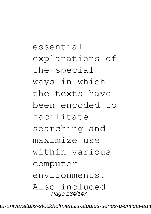essential explanations of the special ways in which the texts have been encoded to facilitate searching and maximize use within various computer environments. Also included Page 134/147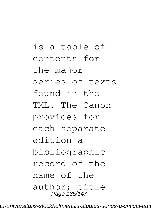is a table of contents for the major series of texts found in the TML. The Canon provides for each separate edition a bibliographic record of the name of the author; title Page 135/147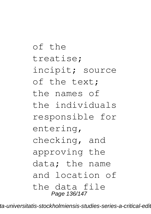of the treatise; incipit; source of the text; the names of the individuals responsible for entering, checking, and approving the data; the name and location of the data file Page 136/147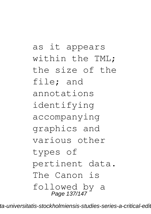as it appears within the TML; the size of the file; and annotations identifying accompanying graphics and various other types of pertinent data. The Canon is followed by a Page 137/147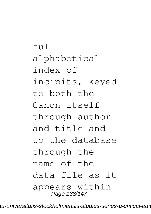full alphabetical index of incipits, keyed to both the Canon itself through author and title and to the database through the name of the data file as it appears within Page 138/147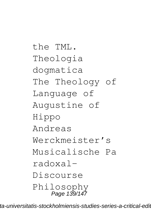the TML. Theologia dogmatica The Theology of Language of Augustine of Hippo Andreas Werckmeister's Musicalische Pa radoxal-Discourse Philosophy Page 139/147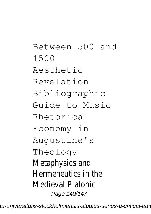Between 500 and 1500 Aesthetic Revelation Bibliographic Guide to Music Rhetorical Economy in Augustine's Theology Metaphysics and Hermeneutics in the Medieval Platonic Page 140/147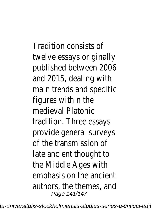Tradition consists of twelve essays originally published between 2006 and 2015, dealing with main trends and specific figures within the medieval Platonic tradition. Three essays provide general surveys of the transmission of late ancient thought to the Middle Ages with emphasis on the ancient authors, the themes, and Page 141/147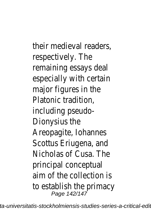their medieval readers, respectively. The remaining essays deal especially with certain major figures in the Platonic tradition, including pseudo-Dionysius the Areopagite, Iohannes Scottus Eriugena, and Nicholas of Cusa. The principal conceptual aim of the collection is to establish the primacy Page 142/147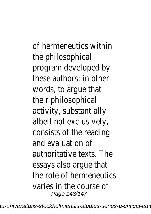of hermeneutics within the philosophical program developed by these authors: in other words, to argue that their philosophical activity, substantially albeit not exclusively, consists of the reading and evaluation of authoritative texts. The essays also argue that the role of hermeneutics varies in the course of Page 143/147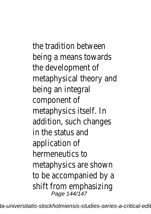the tradition between being a means towards the development of metaphysical theory and being an integral component of metaphysics itself. In addition, such changes in the status and application of hermeneutics to metaphysics are shown to be accompanied by a shift from emphasizing Page 144/147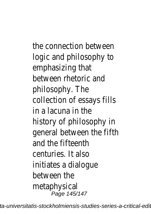the connection between logic and philosophy to emphasizing that between rhetoric and philosophy. The collection of essays fills in a lacuna in the history of philosophy in general between the fifth and the fifteenth centuries. It also initiates a dialogue between the metaphysical Page 145/147

ta-universitatis-stockholmiensis-studies-series-a-critical-edi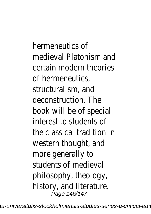hermeneutics of medieval Platonism and certain modern theories of hermeneutics, structuralism, and deconstruction. The book will be of special interest to students of the classical tradition in western thought, and more generally to students of medieval philosophy, theology, history, and literature. Page 146/147

ta-universitatis-stockholmiensis-studies-series-a-critical-edi